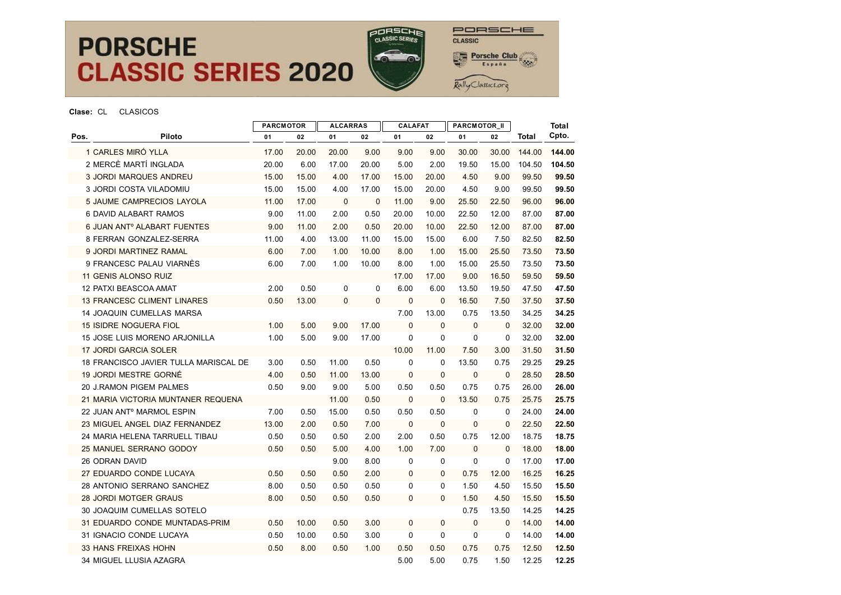



|                |                                         | <b>PARCMOTOR</b> |       | <b>ALCARRAS</b> |              | <b>CALAFAT</b> |              | <b>PARCMOTOR_II</b> |              |        | <b>Total</b> |
|----------------|-----------------------------------------|------------------|-------|-----------------|--------------|----------------|--------------|---------------------|--------------|--------|--------------|
| Pos.           | Piloto                                  | 01               | 02    | 01              | 02           | 01             | 02           | 01                  | 02           | Total  | Cpto.        |
|                | 1 CARLES MIRÓ YLLA                      | 17.00            | 20.00 | 20.00           | 9.00         | 9.00           | 9.00         | 30.00               | 30.00        | 144.00 | 144.00       |
|                | 2 MERCÈ MARTÍ INGLADA                   | 20.00            | 6.00  | 17.00           | 20.00        | 5.00           | 2.00         | 19.50               | 15.00        | 104.50 | 104.50       |
|                | <b>3 JORDI MARQUES ANDREU</b>           | 15.00            | 15.00 | 4.00            | 17.00        | 15.00          | 20.00        | 4.50                | 9.00         | 99.50  | 99.50        |
|                | 3 JORDI COSTA VILADOMIU                 | 15.00            | 15.00 | 4.00            | 17.00        | 15.00          | 20.00        | 4.50                | 9.00         | 99.50  | 99.50        |
|                | 5 JAUME CAMPRECIOS LAYOLA               | 11.00            | 17.00 | $\mathbf{0}$    | $\mathbf 0$  | 11.00          | 9.00         | 25.50               | 22.50        | 96.00  | 96.00        |
|                | 6 DAVID ALABART RAMOS                   | 9.00             | 11.00 | 2.00            | 0.50         | 20.00          | 10.00        | 22.50               | 12.00        | 87.00  | 87.00        |
|                | 6 JUAN ANT <sup>o</sup> ALABART FUENTES | 9.00             | 11.00 | 2.00            | 0.50         | 20.00          | 10.00        | 22.50               | 12.00        | 87.00  | 87.00        |
|                | 8 FERRAN GONZALEZ-SERRA                 | 11.00            | 4.00  | 13.00           | 11.00        | 15.00          | 15.00        | 6.00                | 7.50         | 82.50  | 82.50        |
|                | 9 JORDI MARTINEZ RAMAL                  | 6.00             | 7.00  | 1.00            | 10.00        | 8.00           | 1.00         | 15.00               | 25.50        | 73.50  | 73.50        |
|                | 9 FRANCESC PALAU VIARNES                | 6.00             | 7.00  | 1.00            | 10.00        | 8.00           | 1.00         | 15.00               | 25.50        | 73.50  | 73.50        |
|                | 11 GENIS ALONSO RUIZ                    |                  |       |                 |              | 17.00          | 17.00        | 9.00                | 16.50        | 59.50  | 59.50        |
|                | 12 PATXI BEASCOA AMAT                   | 2.00             | 0.50  | 0               | 0            | 6.00           | 6.00         | 13.50               | 19.50        | 47.50  | 47.50        |
|                | 13 FRANCESC CLIMENT LINARES             | 0.50             | 13.00 | $\mathbf 0$     | $\mathbf{0}$ | $\mathbf 0$    | $\mathbf{0}$ | 16.50               | 7.50         | 37.50  | 37.50        |
|                | 14 JOAQUIN CUMELLAS MARSA               |                  |       |                 |              | 7.00           | 13.00        | 0.75                | 13.50        | 34.25  | 34.25        |
|                | 15 ISIDRE NOGUERA FIOL                  | 1.00             | 5.00  | 9.00            | 17.00        | $\mathbf{0}$   | $\mathbf{0}$ | $\mathbf 0$         | $\mathbf 0$  | 32.00  | 32.00        |
|                | 15 JOSE LUIS MORENO ARJONILLA           | 1.00             | 5.00  | 9.00            | 17.00        | 0              | $\Omega$     | 0                   | 0            | 32.00  | 32.00        |
|                | 17 JORDI GARCIA SOLER                   |                  |       |                 |              | 10.00          | 11.00        | 7.50                | 3.00         | 31.50  | 31.50        |
|                | 18 FRANCISCO JAVIER TULLA MARISCAL DE   | 3.00             | 0.50  | 11.00           | 0.50         | $\mathbf 0$    | $\mathbf 0$  | 13.50               | 0.75         | 29.25  | 29.25        |
|                | 19 JORDI MESTRE GORNÉ                   | 4.00             | 0.50  | 11.00           | 13.00        | $\mathbf 0$    | $\mathbf{0}$ | $\mathbf 0$         | $\mathbf 0$  | 28.50  | 28.50        |
|                | 20 J.RAMON PIGEM PALMES                 | 0.50             | 9.00  | 9.00            | 5.00         | 0.50           | 0.50         | 0.75                | 0.75         | 26.00  | 26.00        |
|                | 21 MARIA VICTORIA MUNTANER REQUENA      |                  |       | 11.00           | 0.50         | $\mathbf 0$    | $\mathbf 0$  | 13.50               | 0.75         | 25.75  | 25.75        |
|                | 22 JUAN ANT <sup>o</sup> MARMOL ESPIN   | 7.00             | 0.50  | 15.00           | 0.50         | 0.50           | 0.50         | $\mathbf 0$         | $\mathbf 0$  | 24.00  | 24.00        |
|                | 23 MIGUEL ANGEL DIAZ FERNANDEZ          | 13.00            | 2.00  | 0.50            | 7.00         | $\mathbf 0$    | $\mathbf 0$  | 0                   | $\mathbf 0$  | 22.50  | 22.50        |
|                | 24 MARIA HELENA TARRUELL TIBAU          | 0.50             | 0.50  | 0.50            | 2.00         | 2.00           | 0.50         | 0.75                | 12.00        | 18.75  | 18.75        |
|                | 25 MANUEL SERRANO GODOY                 | 0.50             | 0.50  | 5.00            | 4.00         | 1.00           | 7.00         | $\Omega$            | $\Omega$     | 18.00  | 18.00        |
| 26 ODRAN DAVID |                                         |                  |       | 9.00            | 8.00         | $\mathbf 0$    | $\Omega$     | $\mathbf 0$         | $\Omega$     | 17.00  | 17.00        |
|                | 27 EDUARDO CONDE LUCAYA                 | 0.50             | 0.50  | 0.50            | 2.00         | 0              | $\mathbf{0}$ | 0.75                | 12.00        | 16.25  | 16.25        |
|                | 28 ANTONIO SERRANO SANCHEZ              | 8.00             | 0.50  | 0.50            | 0.50         | 0              | $\Omega$     | 1.50                | 4.50         | 15.50  | 15.50        |
|                | 28 JORDI MOTGER GRAUS                   | 8.00             | 0.50  | 0.50            | 0.50         | $\mathbf{0}$   | $\Omega$     | 1.50                | 4.50         | 15.50  | 15.50        |
|                | 30 JOAQUIM CUMELLAS SOTELO              |                  |       |                 |              |                |              | 0.75                | 13.50        | 14.25  | 14.25        |
|                | 31 EDUARDO CONDE MUNTADAS-PRIM          | 0.50             | 10.00 | 0.50            | 3.00         | $\mathbf{0}$   | $\Omega$     | $\mathbf{0}$        | $\mathbf{0}$ | 14.00  | 14.00        |
|                | 31 IGNACIO CONDE LUCAYA                 | 0.50             | 10.00 | 0.50            | 3.00         | $\mathbf 0$    | $\mathbf 0$  | $\mathbf 0$         | 0            | 14.00  | 14.00        |
|                | 33 HANS FREIXAS HOHN                    | 0.50             | 8.00  | 0.50            | 1.00         | 0.50           | 0.50         | 0.75                | 0.75         | 12.50  | 12.50        |
|                | 34 MIGUEL LLUSIA AZAGRA                 |                  |       |                 |              | 5.00           | 5.00         | 0.75                | 1.50         | 12.25  | 12.25        |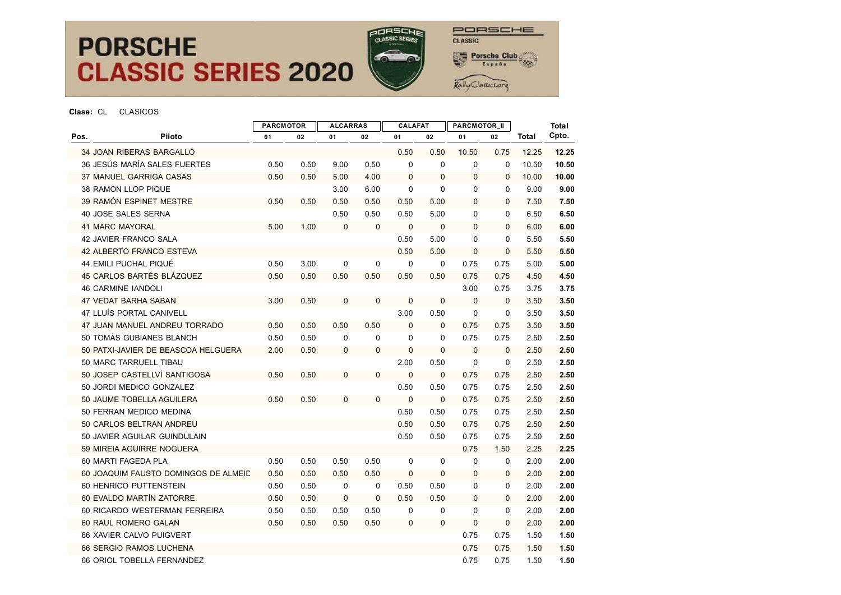

PORSCHE CLASSIC **Porsche Club** 

Rally Classics.org

|                              |                                      | <b>PARCMOTOR</b><br><b>ALCARRAS</b> |      |             |              | <b>CALAFAT</b> |              | PARCMOTOR_II |              |       | <b>Total</b> |
|------------------------------|--------------------------------------|-------------------------------------|------|-------------|--------------|----------------|--------------|--------------|--------------|-------|--------------|
| Pos.                         | Piloto                               | 01                                  | 02   | 01          | 02           | 01             | 02           | 01           | 02           | Total | Cpto.        |
| 34 JOAN RIBERAS BARGALLÓ     |                                      |                                     |      |             |              | 0.50           | 0.50         | 10.50        | 0.75         | 12.25 | 12.25        |
|                              | 36 JESÚS MARÍA SALES FUERTES         | 0.50                                | 0.50 | 9.00        | 0.50         | $\mathbf 0$    | $\mathbf 0$  | $\mathbf 0$  | $\Omega$     | 10.50 | 10.50        |
|                              | 37 MANUEL GARRIGA CASAS              | 0.50                                | 0.50 | 5.00        | 4.00         | $\mathbf 0$    | $\mathbf 0$  | $\mathbf 0$  | $\mathbf 0$  | 10.00 | 10.00        |
| 38 RAMON LLOP PIQUE          |                                      |                                     |      | 3.00        | 6.00         | $\mathbf 0$    | $\Omega$     | $\Omega$     | 0            | 9.00  | 9.00         |
|                              | 39 RAMÓN ESPINET MESTRE              | 0.50                                | 0.50 | 0.50        | 0.50         | 0.50           | 5.00         | $\mathbf{0}$ | $\mathbf{0}$ | 7.50  | 7.50         |
| 40 JOSE SALES SERNA          |                                      |                                     |      | 0.50        | 0.50         | 0.50           | 5.00         | $\mathbf 0$  | 0            | 6.50  | 6.50         |
| <b>41 MARC MAYORAL</b>       |                                      | 5.00                                | 1.00 | $\mathbf 0$ | $\mathbf 0$  | $\mathbf 0$    | $\mathbf 0$  | $\Omega$     | $\Omega$     | 6.00  | 6.00         |
| <b>42 JAVIER FRANCO SALA</b> |                                      |                                     |      |             |              | 0.50           | 5.00         | $\Omega$     | $\mathbf 0$  | 5.50  | 5.50         |
|                              | 42 ALBERTO FRANCO ESTEVA             |                                     |      |             |              | 0.50           | 5.00         | $\mathbf 0$  | $\mathbf 0$  | 5.50  | 5.50         |
| 44 EMILI PUCHAL PIQUÉ        |                                      | 0.50                                | 3.00 | 0           | 0            | 0              | 0            | 0.75         | 0.75         | 5.00  | 5.00         |
|                              | 45 CARLOS BARTÉS BLÁZQUEZ            | 0.50                                | 0.50 | 0.50        | 0.50         | 0.50           | 0.50         | 0.75         | 0.75         | 4.50  | 4.50         |
| <b>46 CARMINE IANDOLI</b>    |                                      |                                     |      |             |              |                |              | 3.00         | 0.75         | 3.75  | 3.75         |
| <b>47 VEDAT BARHA SABAN</b>  |                                      | 3.00                                | 0.50 | $\mathbf 0$ | $\mathbf 0$  | $\mathbf 0$    | $\mathbf 0$  | $\mathbf 0$  | $\Omega$     | 3.50  | 3.50         |
|                              | 47 LLUÍS PORTAL CANIVELL             |                                     |      |             |              | 3.00           | 0.50         | 0            | $\mathbf 0$  | 3.50  | 3.50         |
|                              | 47 JUAN MANUEL ANDREU TORRADO        | 0.50                                | 0.50 | 0.50        | 0.50         | $\mathbf 0$    | $\Omega$     | 0.75         | 0.75         | 3.50  | 3.50         |
|                              | 50 TOMAS GUBIANES BLANCH             | 0.50                                | 0.50 | 0           | 0            | $\mathbf 0$    | 0            | 0.75         | 0.75         | 2.50  | 2.50         |
|                              | 50 PATXI-JAVIER DE BEASCOA HELGUERA  | 2.00                                | 0.50 | 0           | $\mathbf 0$  | $\pmb{0}$      | $\mathbf 0$  | $\mathbf 0$  | $\mathbf 0$  | 2.50  | 2.50         |
|                              | 50 MARC TARRUELL TIBAU               |                                     |      |             |              | 2.00           | 0.50         | $\mathbf 0$  | $\mathbf 0$  | 2.50  | 2.50         |
|                              | 50 JOSEP CASTELLVÍ SANTIGOSA         | 0.50                                | 0.50 | 0           | $\Omega$     | $\mathbf 0$    | $\mathbf{0}$ | 0.75         | 0.75         | 2.50  | 2.50         |
|                              | 50 JORDI MEDICO GONZALEZ             |                                     |      |             |              | 0.50           | 0.50         | 0.75         | 0.75         | 2.50  | 2.50         |
|                              | 50 JAUME TOBELLA AGUILERA            | 0.50                                | 0.50 | $\Omega$    | $\mathbf{0}$ | $\mathbf 0$    | $\mathbf{0}$ | 0.75         | 0.75         | 2.50  | 2.50         |
|                              | 50 FERRAN MEDICO MEDINA              |                                     |      |             |              | 0.50           | 0.50         | 0.75         | 0.75         | 2.50  | 2.50         |
|                              | 50 CARLOS BELTRAN ANDREU             |                                     |      |             |              | 0.50           | 0.50         | 0.75         | 0.75         | 2.50  | 2.50         |
|                              | 50 JAVIER AGUILAR GUINDULAIN         |                                     |      |             |              | 0.50           | 0.50         | 0.75         | 0.75         | 2.50  | 2.50         |
|                              | 59 MIREIA AGUIRRE NOGUERA            |                                     |      |             |              |                |              | 0.75         | 1.50         | 2.25  | 2.25         |
| 60 MARTI FAGEDA PLA          |                                      | 0.50                                | 0.50 | 0.50        | 0.50         | 0              | 0            | $\mathbf 0$  | 0            | 2.00  | 2.00         |
|                              | 60 JOAQUIM FAUSTO DOMINGOS DE ALMEID | 0.50                                | 0.50 | 0.50        | 0.50         | $\mathbf 0$    | $\mathbf{0}$ | $\mathbf{0}$ | $\mathbf 0$  | 2.00  | 2.00         |
|                              | 60 HENRICO PUTTENSTEIN               | 0.50                                | 0.50 | 0           | $\mathbf 0$  | 0.50           | 0.50         | $\mathbf 0$  | 0            | 2.00  | 2.00         |
|                              | 60 EVALDO MARTÍN ZATORRE             | 0.50                                | 0.50 | $\mathbf 0$ | $\Omega$     | 0.50           | 0.50         | $\mathbf{0}$ | $\Omega$     | 2.00  | 2.00         |
|                              | 60 RICARDO WESTERMAN FERREIRA        | 0.50                                | 0.50 | 0.50        | 0.50         | 0              | $\mathbf 0$  | $\mathbf 0$  | $\mathbf 0$  | 2.00  | 2.00         |
| 60 RAUL ROMERO GALAN         |                                      | 0.50                                | 0.50 | 0.50        | 0.50         | 0              | $\mathbf 0$  | $\mathbf 0$  | $\mathbf{0}$ | 2.00  | 2.00         |
|                              | 66 XAVIER CALVO PUIGVERT             |                                     |      |             |              |                |              | 0.75         | 0.75         | 1.50  | 1.50         |
|                              | 66 SERGIO RAMOS LUCHENA              |                                     |      |             |              |                |              | 0.75         | 0.75         | 1.50  | 1.50         |
|                              | 66 ORIOL TOBELLA FERNANDEZ           |                                     |      |             |              |                |              | 0.75         | 0.75         | 1.50  | 1.50         |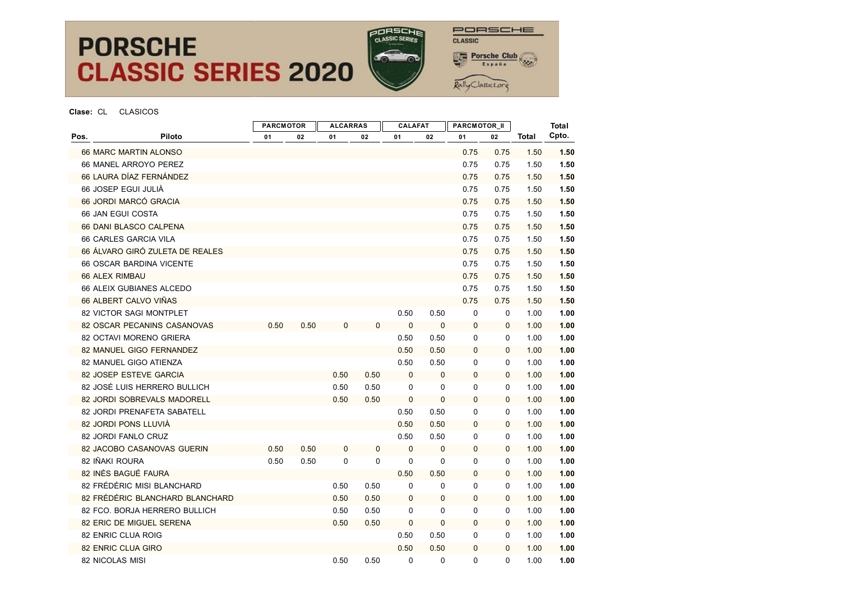

PORSCHE CLASSIC **Porsche Club** Rally Classics.org

|                       |                                 | <b>PARCMOTOR</b> |      | <b>ALCARRAS</b> |             | <b>CALAFAT</b> |              | PARCMOTOR_II |              |              | <b>Total</b> |
|-----------------------|---------------------------------|------------------|------|-----------------|-------------|----------------|--------------|--------------|--------------|--------------|--------------|
| Pos.                  | Piloto                          | 01               | 02   | 01              | 02          | 01             | 02           | 01           | 02           | <b>Total</b> | Cpto.        |
| 66 MARC MARTIN ALONSO |                                 |                  |      |                 |             |                |              | 0.75         | 0.75         | 1.50         | 1.50         |
|                       | 66 MANEL ARROYO PEREZ           |                  |      |                 |             |                |              | 0.75         | 0.75         | 1.50         | 1.50         |
|                       | 66 LAURA DÍAZ FERNÁNDEZ         |                  |      |                 |             |                |              | 0.75         | 0.75         | 1.50         | 1.50         |
|                       | 66 JOSEP EGUI JULIÀ             |                  |      |                 |             |                |              | 0.75         | 0.75         | 1.50         | 1.50         |
|                       | 66 JORDI MARCÓ GRACIA           |                  |      |                 |             |                |              | 0.75         | 0.75         | 1.50         | 1.50         |
| 66 JAN EGUI COSTA     |                                 |                  |      |                 |             |                |              | 0.75         | 0.75         | 1.50         | 1.50         |
|                       | 66 DANI BLASCO CALPENA          |                  |      |                 |             |                |              | 0.75         | 0.75         | 1.50         | 1.50         |
|                       | 66 CARLES GARCIA VILA           |                  |      |                 |             |                |              | 0.75         | 0.75         | 1.50         | 1.50         |
|                       | 66 ÁLVARO GIRÓ ZULETA DE REALES |                  |      |                 |             |                |              | 0.75         | 0.75         | 1.50         | 1.50         |
|                       | <b>66 OSCAR BARDINA VICENTE</b> |                  |      |                 |             |                |              | 0.75         | 0.75         | 1.50         | 1.50         |
| 66 ALEX RIMBAU        |                                 |                  |      |                 |             |                |              | 0.75         | 0.75         | 1.50         | 1.50         |
|                       | 66 ALEIX GUBIANES ALCEDO        |                  |      |                 |             |                |              | 0.75         | 0.75         | 1.50         | 1.50         |
|                       | 66 ALBERT CALVO VIÑAS           |                  |      |                 |             |                |              | 0.75         | 0.75         | 1.50         | 1.50         |
|                       | 82 VICTOR SAGI MONTPLET         |                  |      |                 |             | 0.50           | 0.50         | 0            | 0            | 1.00         | 1.00         |
|                       | 82 OSCAR PECANINS CASANOVAS     | 0.50             | 0.50 | $\mathbf 0$     | $\mathbf 0$ | $\mathbf 0$    | $\mathbf 0$  | $\mathbf 0$  | 0            | 1.00         | 1.00         |
|                       | 82 OCTAVI MORENO GRIERA         |                  |      |                 |             | 0.50           | 0.50         | 0            | 0            | 1.00         | 1.00         |
|                       | 82 MANUEL GIGO FERNANDEZ        |                  |      |                 |             | 0.50           | 0.50         | $\mathbf 0$  | $\mathbf{0}$ | 1.00         | 1.00         |
|                       | 82 MANUEL GIGO ATIENZA          |                  |      |                 |             | 0.50           | 0.50         | $\mathbf 0$  | 0            | 1.00         | 1.00         |
|                       | 82 JOSEP ESTEVE GARCIA          |                  |      | 0.50            | 0.50        | $\mathbf 0$    | $\mathbf{0}$ | $\mathbf 0$  | $\Omega$     | 1.00         | 1.00         |
|                       | 82 JOSÉ LUIS HERRERO BULLICH    |                  |      | 0.50            | 0.50        | $\mathbf 0$    | 0            | 0            | 0            | 1.00         | 1.00         |
|                       | 82 JORDI SOBREVALS MADORELL     |                  |      | 0.50            | 0.50        | 0              | $\mathbf 0$  | $\mathbf 0$  | 0            | 1.00         | 1.00         |
|                       | 82 JORDI PRENAFETA SABATELL     |                  |      |                 |             | 0.50           | 0.50         | 0            | 0            | 1.00         | 1.00         |
|                       | 82 JORDI PONS LLUVIÀ            |                  |      |                 |             | 0.50           | 0.50         | 0            | 0            | 1.00         | 1.00         |
|                       | 82 JORDI FANLO CRUZ             |                  |      |                 |             | 0.50           | 0.50         | $\Omega$     | $\Omega$     | 1.00         | 1.00         |
|                       | 82 JACOBO CASANOVAS GUERIN      | 0.50             | 0.50 | $\mathbf 0$     | $\mathbf 0$ | $\Omega$       | $\mathbf{0}$ | $\mathbf 0$  | $\mathbf{0}$ | 1.00         | 1.00         |
| 82 IÑAKI ROURA        |                                 | 0.50             | 0.50 | 0               | 0           | 0              | $\mathbf 0$  | 0            | 0            | 1.00         | 1.00         |
|                       | 82 INÉS BAGUÉ FAURA             |                  |      |                 |             | 0.50           | 0.50         | $\mathbf 0$  | $\mathbf{0}$ | 1.00         | 1.00         |
|                       | 82 FRÉDÉRIC MISI BLANCHARD      |                  |      | 0.50            | 0.50        | 0              | 0            | 0            | 0            | 1.00         | 1.00         |
|                       | 82 FRÉDÉRIC BLANCHARD BLANCHARD |                  |      | 0.50            | 0.50        | $\mathbf 0$    | $\mathbf{0}$ | $\mathbf 0$  | $\mathbf{0}$ | 1.00         | 1.00         |
|                       | 82 FCO. BORJA HERRERO BULLICH   |                  |      | 0.50            | 0.50        | 0              | 0            | 0            | 0            | 1.00         | 1.00         |
|                       | 82 ERIC DE MIGUEL SERENA        |                  |      | 0.50            | 0.50        | $\mathbf 0$    | $\mathbf 0$  | $\mathbf 0$  | $\mathbf{0}$ | 1.00         | 1.00         |
|                       | 82 ENRIC CLUA ROIG              |                  |      |                 |             | 0.50           | 0.50         | 0            | 0            | 1.00         | 1.00         |
| 82 ENRIC CLUA GIRO    |                                 |                  |      |                 |             | 0.50           | 0.50         | 0            | $\mathbf{0}$ | 1.00         | 1.00         |
| 82 NICOLAS MISI       |                                 |                  |      | 0.50            | 0.50        | $\Omega$       | $\Omega$     | $\mathbf{0}$ | 0            | 1.00         | 1.00         |